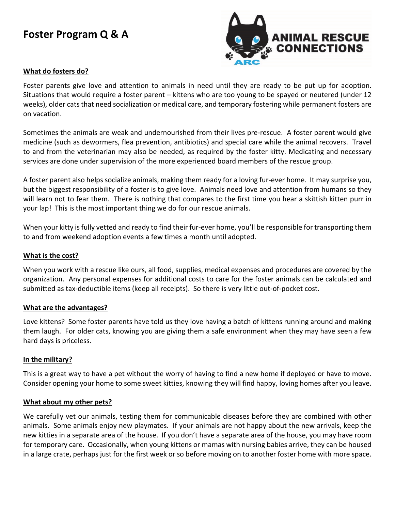# **Foster Program Q & A**



## **What do fosters do?**

Foster parents give love and attention to animals in need until they are ready to be put up for adoption. Situations that would require a foster parent – kittens who are too young to be spayed or neutered (under 12 weeks), older cats that need socialization or medical care, and temporary fostering while permanent fosters are on vacation.

Sometimes the animals are weak and undernourished from their lives pre-rescue. A foster parent would give medicine (such as dewormers, flea prevention, antibiotics) and special care while the animal recovers. Travel to and from the veterinarian may also be needed, as required by the foster kitty. Medicating and necessary services are done under supervision of the more experienced board members of the rescue group.

A foster parent also helps socialize animals, making them ready for a loving fur-ever home. It may surprise you, but the biggest responsibility of a foster is to give love. Animals need love and attention from humans so they will learn not to fear them. There is nothing that compares to the first time you hear a skittish kitten purr in your lap! This is the most important thing we do for our rescue animals.

When your kitty is fully vetted and ready to find their fur-ever home, you'll be responsible for transporting them to and from weekend adoption events a few times a month until adopted.

#### **What is the cost?**

When you work with a rescue like ours, all food, supplies, medical expenses and procedures are covered by the organization. Any personal expenses for additional costs to care for the foster animals can be calculated and submitted as tax-deductible items (keep all receipts). So there is very little out-of-pocket cost.

#### **What are the advantages?**

Love kittens? Some foster parents have told us they love having a batch of kittens running around and making them laugh. For older cats, knowing you are giving them a safe environment when they may have seen a few hard days is priceless.

#### **In the military?**

This is a great way to have a pet without the worry of having to find a new home if deployed or have to move. Consider opening your home to some sweet kitties, knowing they will find happy, loving homes after you leave.

#### **What about my other pets?**

We carefully vet our animals, testing them for communicable diseases before they are combined with other animals. Some animals enjoy new playmates. If your animals are not happy about the new arrivals, keep the new kitties in a separate area of the house. If you don't have a separate area of the house, you may have room for temporary care. Occasionally, when young kittens or mamas with nursing babies arrive, they can be housed in a large crate, perhaps just for the first week or so before moving on to another foster home with more space.